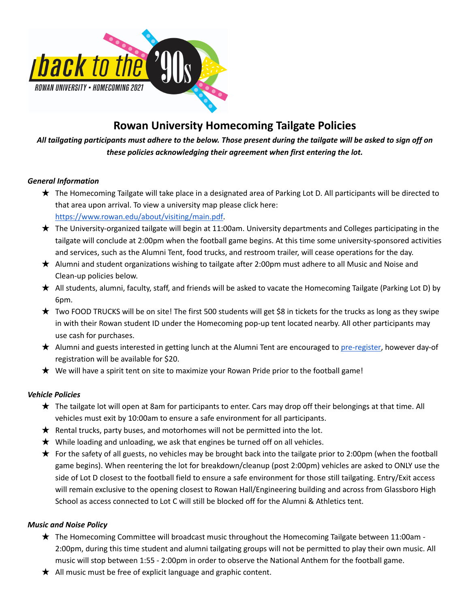

# **Rowan University Homecoming Tailgate Policies**

All tailgating participants must adhere to the below. Those present during the tailgate will be asked to sign off on *these policies acknowledging their agreement when first entering the lot.*

## *General Information*

- ★ The Homecoming Tailgate will take place in a designated area of Parking Lot D. All participants will be directed to that area upon arrival. To view a university map please click here: [https://www.rowan.edu/about/visiting/main.pdf.](https://www.rowan.edu/about/visiting/main.pdf)
- ★ The University-organized tailgate will begin at 11:00am. University departments and Colleges participating in the tailgate will conclude at 2:00pm when the football game begins. At this time some university-sponsored activities and services, such as the Alumni Tent, food trucks, and restroom trailer, will cease operations for the day.
- ★ Alumni and student organizations wishing to tailgate after 2:00pm must adhere to all Music and Noise and Clean-up policies below.
- ★ All students, alumni, faculty, staff, and friends will be asked to vacate the Homecoming Tailgate (Parking Lot D) by 6pm.
- ★ Two FOOD TRUCKS will be on site! The first 500 students will get \$8 in tickets for the trucks as long as they swipe in with their Rowan student ID under the Homecoming pop-up tent located nearby. All other participants may use cash for purchases.
- ★ Alumni and guests interested in getting lunch at the Alumni Tent are encouraged to [pre-register,](https://www.alumni.rowan.edu/s/1653/02-alumni/index.aspx?sid=1653&pgid=3110&gid=2&cid=5687&ecid=5687&post_id=0) however day-of registration will be available for \$20.
- ★ We will have a spirit tent on site to maximize your Rowan Pride prior to the football game!

#### *Vehicle Policies*

- ★ The tailgate lot will open at 8am for participants to enter. Cars may drop off their belongings at that time. All vehicles must exit by 10:00am to ensure a safe environment for all participants.
- ★ Rental trucks, party buses, and motorhomes will not be permitted into the lot.
- $\star$  While loading and unloading, we ask that engines be turned off on all vehicles.
- $\star$  For the safety of all guests, no vehicles may be brought back into the tailgate prior to 2:00pm (when the football game begins). When reentering the lot for breakdown/cleanup (post 2:00pm) vehicles are asked to ONLY use the side of Lot D closest to the football field to ensure a safe environment for those still tailgating. Entry/Exit access will remain exclusive to the opening closest to Rowan Hall/Engineering building and across from Glassboro High School as access connected to Lot C will still be blocked off for the Alumni & Athletics tent.

## *Music and Noise Policy*

- ★ The Homecoming Committee will broadcast music throughout the Homecoming Tailgate between 11:00am 2:00pm, during this time student and alumni tailgating groups will not be permitted to play their own music. All music will stop between 1:55 - 2:00pm in order to observe the National Anthem for the football game.
- $\bigstar$  All music must be free of explicit language and graphic content.